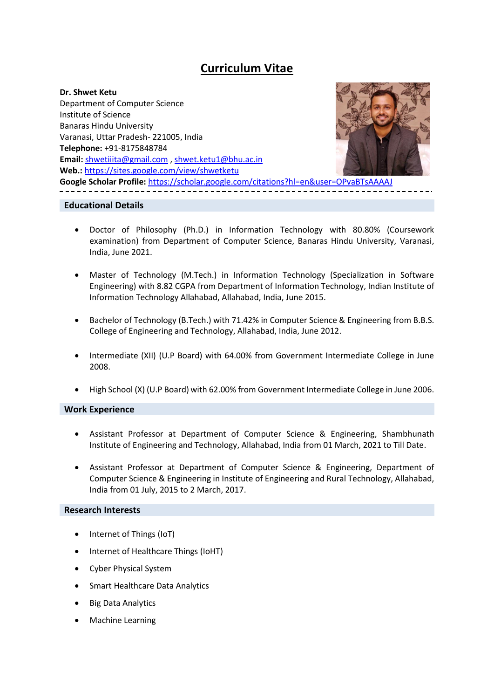# **Curriculum Vitae**

**Dr. Shwet Ketu** Department of Computer Science Institute of Science Banaras Hindu University Varanasi, Uttar Pradesh- 221005, India **Telephone:** +91-8175848784 **Email:** [shwetiiita@gmail.com](mailto:shwetiiita@gmail.com) , [shwet.ketu1@bhu.ac.in](mailto:shwet.ketu1@bhu.ac.in) **Web.:** <https://sites.google.com/view/shwetketu> **Google Scholar Profile:** [https://scholar.google.com/citations?hl=en&user=OPvaBTsAAAAJ](https://scholar.google.com/citations?hl=en&user=OPvaBTsAAAA#J)

# **Educational Details**

- Doctor of Philosophy (Ph.D.) in Information Technology with 80.80% (Coursework examination) from Department of Computer Science, Banaras Hindu University, Varanasi, India, June 2021.
- Master of Technology (M.Tech.) in Information Technology (Specialization in Software Engineering) with 8.82 CGPA from Department of Information Technology, Indian Institute of Information Technology Allahabad, Allahabad, India, June 2015.
- Bachelor of Technology (B.Tech.) with 71.42% in Computer Science & Engineering from B.B.S. College of Engineering and Technology, Allahabad, India, June 2012.
- Intermediate (XII) (U.P Board) with 64.00% from Government Intermediate College in June 2008.
- High School (X) (U.P Board) with 62.00% from Government Intermediate College in June 2006.

## **Work Experience**

- Assistant Professor at Department of Computer Science & Engineering, Shambhunath Institute of Engineering and Technology, Allahabad, India from 01 March, 2021 to Till Date.
- Assistant Professor at Department of Computer Science & Engineering, Department of Computer Science & Engineering in Institute of Engineering and Rural Technology, Allahabad, India from 01 July, 2015 to 2 March, 2017.

## **Research Interests**

- Internet of Things (IoT)
- Internet of Healthcare Things (IoHT)
- Cyber Physical System
- Smart Healthcare Data Analytics
- Big Data Analytics
- Machine Learning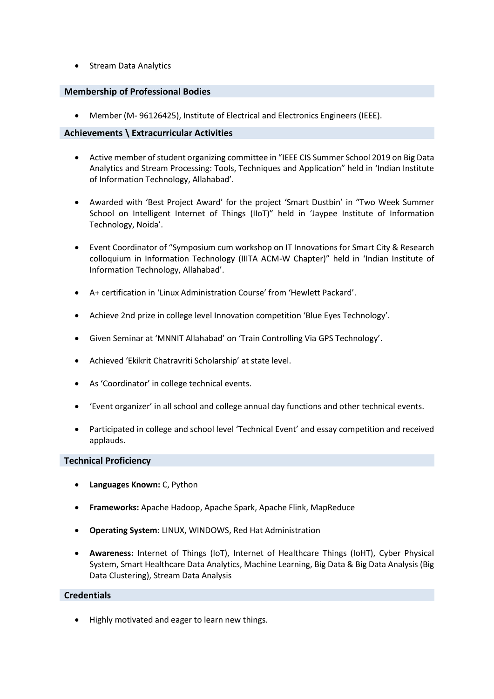• Stream Data Analytics

# **Membership of Professional Bodies**

Member (M- 96126425), Institute of Electrical and Electronics Engineers (IEEE).

# **Achievements \ Extracurricular Activities**

- Active member of student organizing committee in "IEEE CIS Summer School 2019 on Big Data Analytics and Stream Processing: Tools, Techniques and Application" held in 'Indian Institute of Information Technology, Allahabad'.
- Awarded with 'Best Project Award' for the project 'Smart Dustbin' in "Two Week Summer School on Intelligent Internet of Things (IIoT)" held in 'Jaypee Institute of Information Technology, Noida'.
- Event Coordinator of "Symposium cum workshop on IT Innovations for Smart City & Research colloquium in Information Technology (IIITA ACM-W Chapter)" held in 'Indian Institute of Information Technology, Allahabad'.
- A+ certification in 'Linux Administration Course' from 'Hewlett Packard'.
- Achieve 2nd prize in college level Innovation competition 'Blue Eyes Technology'.
- Given Seminar at 'MNNIT Allahabad' on 'Train Controlling Via GPS Technology'.
- Achieved 'Ekikrit Chatravriti Scholarship' at state level.
- As 'Coordinator' in college technical events.
- 'Event organizer' in all school and college annual day functions and other technical events.
- Participated in college and school level 'Technical Event' and essay competition and received applauds.

## **Technical Proficiency**

- **Languages Known:** C, Python
- **Frameworks:** Apache Hadoop, Apache Spark, Apache Flink, MapReduce
- **Operating System:** LINUX, WINDOWS, Red Hat Administration
- **Awareness:** Internet of Things (IoT), Internet of Healthcare Things (IoHT), Cyber Physical System, Smart Healthcare Data Analytics, Machine Learning, Big Data & Big Data Analysis (Big Data Clustering), Stream Data Analysis

# **Credentials**

Highly motivated and eager to learn new things.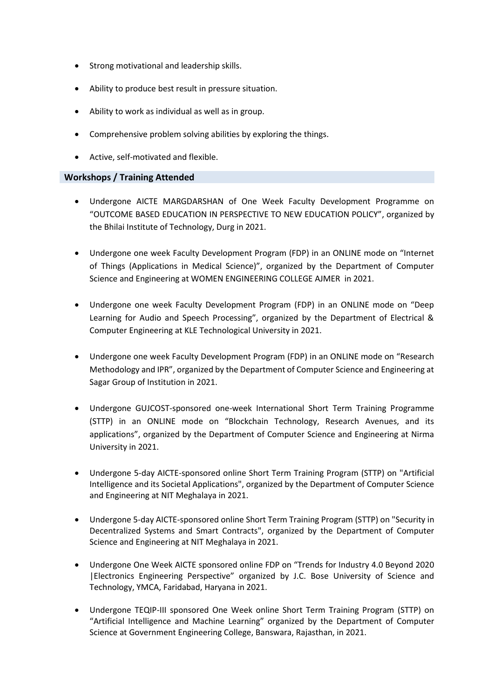- Strong motivational and leadership skills.
- Ability to produce best result in pressure situation.
- Ability to work as individual as well as in group.
- Comprehensive problem solving abilities by exploring the things.
- Active, self-motivated and flexible.

# **Workshops / Training Attended**

- Undergone AICTE MARGDARSHAN of One Week Faculty Development Programme on "OUTCOME BASED EDUCATION IN PERSPECTIVE TO NEW EDUCATION POLICY", organized by the Bhilai Institute of Technology, Durg in 2021.
- Undergone one week Faculty Development Program (FDP) in an ONLINE mode on "Internet of Things (Applications in Medical Science)", organized by the Department of Computer Science and Engineering at WOMEN ENGINEERING COLLEGE AJMER in 2021.
- Undergone one week Faculty Development Program (FDP) in an ONLINE mode on "Deep Learning for Audio and Speech Processing", organized by the Department of Electrical & Computer Engineering at KLE Technological University in 2021.
- Undergone one week Faculty Development Program (FDP) in an ONLINE mode on "Research Methodology and IPR", organized by the Department of Computer Science and Engineering at Sagar Group of Institution in 2021.
- Undergone GUJCOST-sponsored one-week International Short Term Training Programme (STTP) in an ONLINE mode on "Blockchain Technology, Research Avenues, and its applications", organized by the Department of Computer Science and Engineering at Nirma University in 2021.
- Undergone 5-day AICTE-sponsored online Short Term Training Program (STTP) on "Artificial Intelligence and its Societal Applications", organized by the Department of Computer Science and Engineering at NIT Meghalaya in 2021.
- Undergone 5-day AICTE-sponsored online Short Term Training Program (STTP) on "Security in Decentralized Systems and Smart Contracts", organized by the Department of Computer Science and Engineering at NIT Meghalaya in 2021.
- Undergone One Week AICTE sponsored online FDP on "Trends for Industry 4.0 Beyond 2020 |Electronics Engineering Perspective" organized by J.C. Bose University of Science and Technology, YMCA, Faridabad, Haryana in 2021.
- Undergone TEQIP-III sponsored One Week online Short Term Training Program (STTP) on "Artificial Intelligence and Machine Learning" organized by the Department of Computer Science at Government Engineering College, Banswara, Rajasthan, in 2021.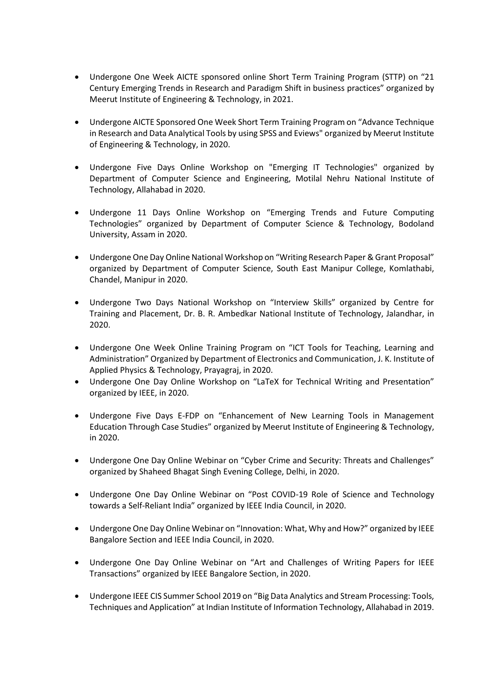- Undergone One Week AICTE sponsored online Short Term Training Program (STTP) on "21 Century Emerging Trends in Research and Paradigm Shift in business practices" organized by Meerut Institute of Engineering & Technology, in 2021.
- Undergone AICTE Sponsored One Week Short Term Training Program on "Advance Technique in Research and Data Analytical Tools by using SPSS and Eviews" organized by Meerut Institute of Engineering & Technology, in 2020.
- Undergone Five Days Online Workshop on "Emerging IT Technologies" organized by Department of Computer Science and Engineering, Motilal Nehru National Institute of Technology, Allahabad in 2020.
- Undergone 11 Days Online Workshop on "Emerging Trends and Future Computing Technologies" organized by Department of Computer Science & Technology, Bodoland University, Assam in 2020.
- Undergone One Day Online National Workshop on "Writing Research Paper & Grant Proposal" organized by Department of Computer Science, South East Manipur College, Komlathabi, Chandel, Manipur in 2020.
- Undergone Two Days National Workshop on "Interview Skills" organized by Centre for Training and Placement, Dr. B. R. Ambedkar National Institute of Technology, Jalandhar, in 2020.
- Undergone One Week Online Training Program on "ICT Tools for Teaching, Learning and Administration" Organized by Department of Electronics and Communication, J. K. Institute of Applied Physics & Technology, Prayagraj, in 2020.
- Undergone One Day Online Workshop on "LaTeX for Technical Writing and Presentation" organized by IEEE, in 2020.
- Undergone Five Days E-FDP on "Enhancement of New Learning Tools in Management Education Through Case Studies" organized by Meerut Institute of Engineering & Technology, in 2020.
- Undergone One Day Online Webinar on "Cyber Crime and Security: Threats and Challenges" organized by Shaheed Bhagat Singh Evening College, Delhi, in 2020.
- Undergone One Day Online Webinar on "Post COVID-19 Role of Science and Technology towards a Self-Reliant India" organized by IEEE India Council, in 2020.
- Undergone One Day Online Webinar on "Innovation: What, Why and How?" organized by IEEE Bangalore Section and IEEE India Council, in 2020.
- Undergone One Day Online Webinar on "Art and Challenges of Writing Papers for IEEE Transactions" organized by IEEE Bangalore Section, in 2020.
- Undergone IEEE CIS Summer School 2019 on "Big Data Analytics and Stream Processing: Tools, Techniques and Application" at Indian Institute of Information Technology, Allahabad in 2019.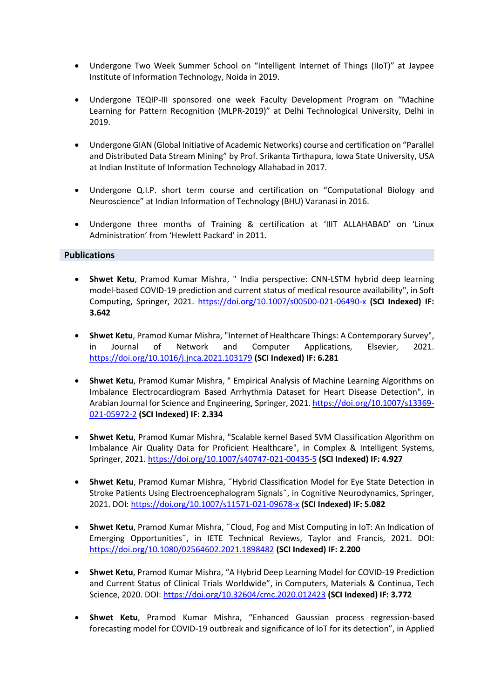- Undergone Two Week Summer School on "Intelligent Internet of Things (IIoT)" at Jaypee Institute of Information Technology, Noida in 2019.
- Undergone TEQIP-III sponsored one week Faculty Development Program on "Machine Learning for Pattern Recognition (MLPR-2019)" at Delhi Technological University, Delhi in 2019.
- Undergone GIAN (Global Initiative of Academic Networks) course and certification on "Parallel and Distributed Data Stream Mining" by Prof. Srikanta Tirthapura, Iowa State University, USA at Indian Institute of Information Technology Allahabad in 2017.
- Undergone Q.I.P. short term course and certification on "Computational Biology and Neuroscience" at Indian Information of Technology (BHU) Varanasi in 2016.
- Undergone three months of Training & certification at 'IIIT ALLAHABAD' on 'Linux Administration' from 'Hewlett Packard' in 2011.

## **Publications**

- **Shwet Ketu**, Pramod Kumar Mishra, " India perspective: CNN-LSTM hybrid deep learning model-based COVID-19 prediction and current status of medical resource availability", in Soft Computing, Springer, 2021.<https://doi.org/10.1007/s00500-021-06490-x> **(SCI Indexed) IF: 3.642**
- **Shwet Ketu**, Pramod Kumar Mishra, "Internet of Healthcare Things: A Contemporary Survey", Journal of Network and Computer Applications, Elsevier, 2021. <https://doi.org/10.1016/j.jnca.2021.103179> **(SCI Indexed) IF: 6.281**
- **Shwet Ketu**, Pramod Kumar Mishra, " Empirical Analysis of Machine Learning Algorithms on Imbalance Electrocardiogram Based Arrhythmia Dataset for Heart Disease Detection", in Arabian Journal for Science and Engineering, Springer, 2021[. https://doi.org/10.1007/s13369-](https://doi.org/10.1007/s13369-021-05972-2) [021-05972-2](https://doi.org/10.1007/s13369-021-05972-2) **(SCI Indexed) IF: 2.334**
- **Shwet Ketu**, Pramod Kumar Mishra, "Scalable kernel Based SVM Classification Algorithm on Imbalance Air Quality Data for Proficient Healthcare", in Complex & Intelligent Systems, Springer, 2021. <https://doi.org/10.1007/s40747-021-00435-5> **(SCI Indexed) IF: 4.927**
- **Shwet Ketu**, Pramod Kumar Mishra, ˝Hybrid Classification Model for Eye State Detection in Stroke Patients Using Electroencephalogram Signals˝, in Cognitive Neurodynamics, Springer, 2021. DOI:<https://doi.org/10.1007/s11571-021-09678-x> **(SCI Indexed) IF: 5.082**
- **Shwet Ketu**, Pramod Kumar Mishra, ˝Cloud, Fog and Mist Computing in IoT: An Indication of Emerging Opportunities˝, in IETE Technical Reviews, Taylor and Francis, 2021. DOI: <https://doi.org/10.1080/02564602.2021.1898482> **(SCI Indexed) IF: 2.200**
- **Shwet Ketu**, Pramod Kumar Mishra, "A Hybrid Deep Learning Model for COVID-19 Prediction and Current Status of Clinical Trials Worldwide", in Computers, Materials & Continua, Tech Science, 2020. DOI[: https://doi.org/10.32604/cmc.2020.012423](https://doi.org/10.32604/cmc.2020.012423) **(SCI Indexed) IF: 3.772**
- **Shwet Ketu**, Pramod Kumar Mishra, "Enhanced Gaussian process regression-based forecasting model for COVID-19 outbreak and significance of IoT for its detection", in Applied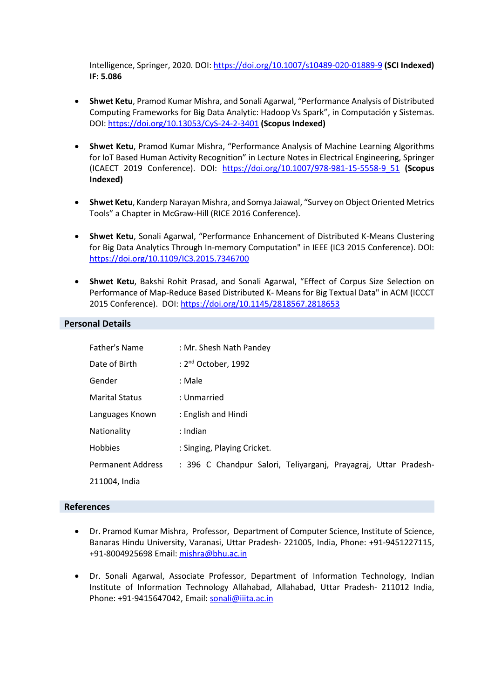Intelligence, Springer, 2020. DOI[: https://doi.org/10.1007/s10489-020-01889-9](https://doi.org/10.1007/s10489-020-01889-9) **(SCI Indexed) IF: 5.086**

- **Shwet Ketu**, Pramod Kumar Mishra, and Sonali Agarwal, "Performance Analysis of Distributed Computing Frameworks for Big Data Analytic: Hadoop Vs Spark", in Computación y Sistemas. DOI:<https://doi.org/10.13053/CyS-24-2-3401> **(Scopus Indexed)**
- **Shwet Ketu**, Pramod Kumar Mishra, "Performance Analysis of Machine Learning Algorithms for IoT Based Human Activity Recognition" in Lecture Notes in Electrical Engineering, Springer (ICAECT 2019 Conference). DOI: [https://doi.org/10.1007/978-981-15-5558-9\\_51](https://doi.org/10.1007/978-981-15-5558-9_51) **(Scopus Indexed)**
- **Shwet Ketu**, Kanderp Narayan Mishra, and Somya Jaiawal, "Survey on Object Oriented Metrics Tools" a Chapter in McGraw-Hill (RICE 2016 Conference).
- **Shwet Ketu**, Sonali Agarwal, "Performance Enhancement of Distributed K-Means Clustering for Big Data Analytics Through In-memory Computation" in IEEE (IC3 2015 Conference). DOI: <https://doi.org/10.1109/IC3.2015.7346700>
- **Shwet Ketu**, Bakshi Rohit Prasad, and Sonali Agarwal, "Effect of Corpus Size Selection on Performance of Map-Reduce Based Distributed K- Means for Big Textual Data" in ACM (ICCCT 2015 Conference). DOI[: https://doi.org/10.1145/2818567.2818653](https://doi.org/10.1145/2818567.2818653)

#### **Personal Details**

| Father's Name            | : Mr. Shesh Nath Pandey                                         |
|--------------------------|-----------------------------------------------------------------|
| Date of Birth            | : $2nd October, 1992$                                           |
| Gender                   | : Male                                                          |
| <b>Marital Status</b>    | : Unmarried                                                     |
| Languages Known          | : English and Hindi                                             |
| Nationality              | : Indian                                                        |
| <b>Hobbies</b>           | : Singing, Playing Cricket.                                     |
| <b>Permanent Address</b> | : 396 C Chandpur Salori, Teliyarganj, Prayagraj, Uttar Pradesh- |
| 211004, India            |                                                                 |

#### **References**

- Dr. Pramod Kumar Mishra, Professor, Department of Computer Science, Institute of Science, Banaras Hindu University, Varanasi, Uttar Pradesh- 221005, India, Phone: +91-9451227115, +91-8004925698 Email: [mishra@bhu.ac.in](mailto:mishra@bhu.ac.in)
- Dr. Sonali Agarwal, Associate Professor, Department of Information Technology, Indian Institute of Information Technology Allahabad, Allahabad, Uttar Pradesh- 211012 India, Phone: +91-9415647042, Email: [sonali@iiita.ac.in](mailto:sonali@iiita.ac.in)